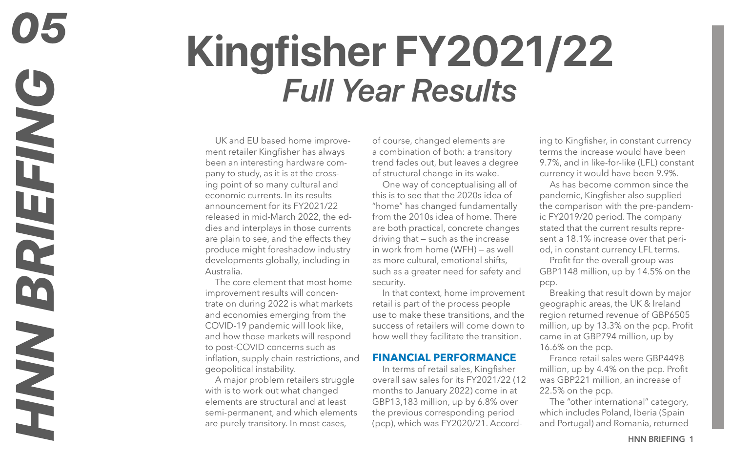# **Kingfisher FY2021/22** *Full Year Results*

UK and EU based home improvement retailer Kingfisher has always been an interesting hardware company to study, as it is at the crossing point of so many cultural and economic currents. In its results announcement for its FY2021/22 released in mid-March 2022, the eddies and interplays in those currents are plain to see, and the effects they produce might foreshadow industry developments globally, including in Australia.

The core element that most home improvement results will concentrate on during 2022 is what markets and economies emerging from the COVID-19 pandemic will look like, and how those markets will respond to post-COVID concerns such as inflation, supply chain restrictions, and geopolitical instability.

A major problem retailers struggle with is to work out what changed elements are structural and at least semi-permanent, and which elements are purely transitory. In most cases,

of course, changed elements are a combination of both: a transitory trend fades out, but leaves a degree of structural change in its wake.

One way of conceptualising all of this is to see that the 2020s idea of "home" has changed fundamentally from the 2010s idea of home. There are both practical, concrete changes driving that — such as the increase in work from home (WFH) — as well as more cultural, emotional shifts, such as a greater need for safety and security.

In that context, home improvement retail is part of the process people use to make these transitions, and the success of retailers will come down to how well they facilitate the transition.

### **FINANCIAL PERFORMANCE**

In terms of retail sales, Kingfisher overall saw sales for its FY2021/22 (12 months to January 2022) come in at GBP13,183 million, up by 6.8% over the previous corresponding period (pcp), which was FY2020/21. According to Kingfisher, in constant currency terms the increase would have been 9.7%, and in like-for-like (LFL) constant currency it would have been 9.9%.

As has become common since the pandemic, Kingfisher also supplied the comparison with the pre-pandemic FY2019/20 period. The company stated that the current results represent a 18.1% increase over that period, in constant currency LFL terms.

Profit for the overall group was GBP1148 million, up by 14.5% on the pcp.

Breaking that result down by major geographic areas, the UK & Ireland region returned revenue of GBP6505 million, up by 13.3% on the pcp. Profit came in at GBP794 million, up by 16.6% on the pcp.

France retail sales were GBP4498 million, up by 4.4% on the pcp. Profit was GBP221 million, an increase of 22.5% on the pcp.

The "other international" category, which includes Poland, Iberia (Spain and Portugal) and Romania, returned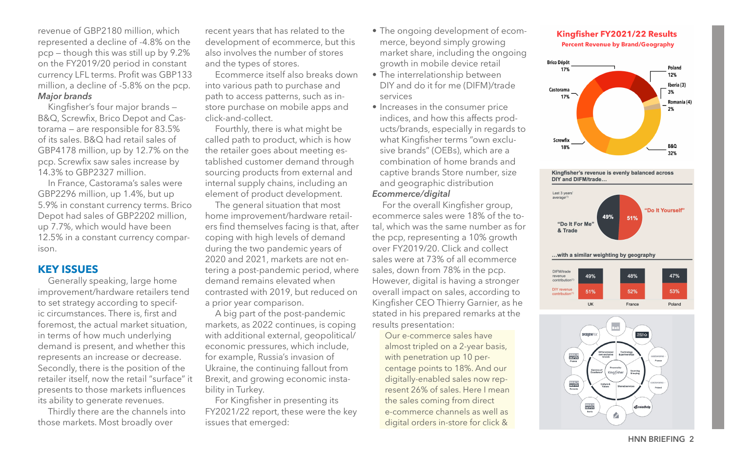revenue of GBP2180 million, which represented a decline of -4.8% on the pcp — though this was still up by 9.2% on the FY2019/20 period in constant currency LFL terms. Profit was GBP133 million, a decline of -5.8% on the pcp. *Major brands*

Kingfisher's four major brands — B&Q, Screwfix, Brico Depot and Castorama — are responsible for 83.5% of its sales. B&Q had retail sales of GBP4178 million, up by 12.7% on the pcp. Screwfix saw sales increase by 14.3% to GBP2327 million.

In France, Castorama's sales were GBP2296 million, up 1.4%, but up 5.9% in constant currency terms. Brico Depot had sales of GBP2202 million, up 7.7%, which would have been 12.5% in a constant currency comparison.

## **KEY ISSUES**

Generally speaking, large home improvement/hardware retailers tend to set strategy according to specific circumstances. There is, first and foremost, the actual market situation, in terms of how much underlying demand is present, and whether this represents an increase or decrease. Secondly, there is the position of the retailer itself, now the retail "surface" it presents to those markets influences its ability to generate revenues.

Thirdly there are the channels into those markets. Most broadly over

recent years that has related to the development of ecommerce, but this also involves the number of stores and the types of stores.

Ecommerce itself also breaks down into various path to purchase and path to access patterns, such as instore purchase on mobile apps and click-and-collect.

Fourthly, there is what might be called path to product, which is how the retailer goes about meeting established customer demand through sourcing products from external and internal supply chains, including an element of product development.

The general situation that most home improvement/hardware retailers find themselves facing is that, after coping with high levels of demand during the two pandemic years of 2020 and 2021, markets are not entering a post-pandemic period, where demand remains elevated when contrasted with 2019, but reduced on a prior year comparison.

A big part of the post-pandemic markets, as 2022 continues, is coping with additional external, geopolitical/ economic pressures, which include, for example, Russia's invasion of Ukraine, the continuing fallout from Brexit, and growing economic instability in Turkey.

For Kingfisher in presenting its FY2021/22 report, these were the key issues that emerged:

- The ongoing development of ecommerce, beyond simply growing market share, including the ongoing growth in mobile device retail
- The interrelationship between DIY and do it for me (DIFM)/trade services
- Increases in the consumer price indices, and how this affects products/brands, especially in regards to what Kingfisher terms "own exclusive brands" (OEBs), which are a combination of home brands and captive brands Store number, size and geographic distribution *Ecommerce/digital*

## For the overall Kingfisher group,

ecommerce sales were 18% of the total, which was the same number as for the pcp, representing a 10% growth over FY2019/20. Click and collect sales were at 73% of all ecommerce sales, down from 78% in the pcp. However, digital is having a stronger overall impact on sales, according to Kingfisher CEO Thierry Garnier, as he stated in his prepared remarks at the results presentation:

Our e-commerce sales have almost tripled on a 2-year basis, with penetration up 10 percentage points to 18%. And our digitally-enabled sales now represent 26% of sales. Here I mean the sales coming from direct e-commerce channels as well as digital orders in-store for click &

#### Kingfisher FY2021/22 Results **Percent Revenue by Brand/Geography**



Kingfisher's revenue is evenly balanced across DIY and DIFM/trade...





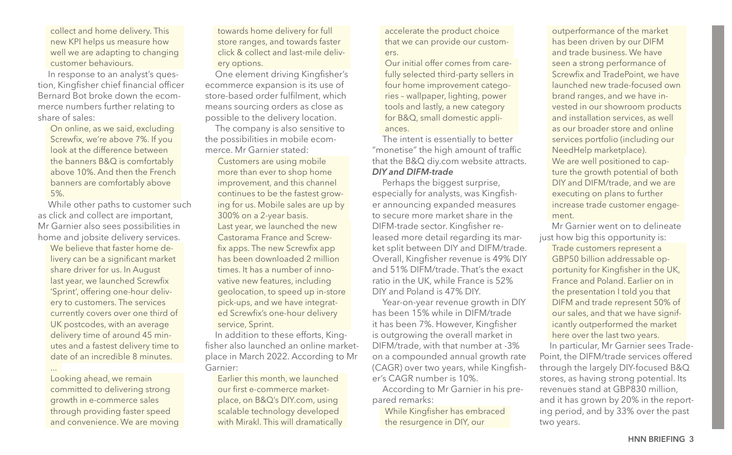collect and home delivery. This new KPI helps us measure how well we are adapting to changing customer behaviours.

In response to an analyst's question, Kingfisher chief financial officer Bernard Bot broke down the ecommerce numbers further relating to share of sales:

On online, as we said, excluding Screwfix, we're above 7%. If you look at the difference between the banners B&Q is comfortably above 10%. And then the French banners are comfortably above 5%.

While other paths to customer such as click and collect are important, Mr Garnier also sees possibilities in home and jobsite delivery services.

We believe that faster home delivery can be a significant market share driver for us. In August last year, we launched Screwfix 'Sprint', offering one-hour delivery to customers. The services currently covers over one third of UK postcodes, with an average delivery time of around 45 minutes and a fastest delivery time to date of an incredible 8 minutes. ...

Looking ahead, we remain committed to delivering strong growth in e-commerce sales through providing faster speed and convenience. We are moving towards home delivery for full store ranges, and towards faster click & collect and last-mile delivery options.

One element driving Kingfisher's ecommerce expansion is its use of store-based order fulfilment, which means sourcing orders as close as possible to the delivery location.

The company is also sensitive to the possibilities in mobile ecommerce. Mr Garnier stated:

Customers are using mobile more than ever to shop home improvement, and this channel continues to be the fastest growing for us. Mobile sales are up by 300% on a 2-year basis. Last year, we launched the new Castorama France and Screwfix apps. The new Screwfix app has been downloaded 2 million times. It has a number of innovative new features, including geolocation, to speed up in-store pick-ups, and we have integrated Screwfix's one-hour delivery service, Sprint.

In addition to these efforts, Kingfisher also launched an online marketplace in March 2022. According to Mr Garnier:

Earlier this month, we launched our first e-commerce marketplace, on B&Q's DIY.com, using scalable technology developed with Mirakl. This will dramatically accelerate the product choice that we can provide our customers.

Our initial offer comes from carefully selected third-party sellers in four home improvement categories – wallpaper, lighting, power tools and lastly, a new category for B&Q, small domestic appliances.

The intent is essentially to better "monetise" the high amount of traffic that the B&Q diy.com website attracts. *DIY and DIFM-trade*

Perhaps the biggest surprise, especially for analysts, was Kingfisher announcing expanded measures to secure more market share in the DIFM-trade sector. Kingfisher released more detail regarding its market split between DIY and DIFM/trade. Overall, Kingfisher revenue is 49% DIY and 51% DIFM/trade. That's the exact ratio in the UK, while France is 52% DIY and Poland is 47% DIY.

Year-on-year revenue growth in DIY has been 15% while in DIFM/trade it has been 7%. However, Kingfisher is outgrowing the overall market in DIFM/trade, with that number at -3% on a compounded annual growth rate (CAGR) over two years, while Kingfisher's CAGR number is 10%.

According to Mr Garnier in his prepared remarks:

While Kingfisher has embraced the resurgence in DIY, our

outperformance of the market has been driven by our DIFM and trade business. We have seen a strong performance of Screwfix and TradePoint, we have launched new trade-focused own brand ranges, and we have invested in our showroom products and installation services, as well as our broader store and online services portfolio (including our NeedHelp marketplace). We are well positioned to capture the growth potential of both DIY and DIFM/trade, and we are executing on plans to further increase trade customer engagement.

 Mr Garnier went on to delineate just how big this opportunity is:

Trade customers represent a GBP50 billion addressable opportunity for Kingfisher in the UK, France and Poland. Earlier on in the presentation I told you that DIFM and trade represent 50% of our sales, and that we have significantly outperformed the market here over the last two years.

In particular, Mr Garnier sees Trade-Point, the DIFM/trade services offered through the largely DIY-focused B&Q stores, as having strong potential. Its revenues stand at GBP830 million, and it has grown by 20% in the reporting period, and by 33% over the past two years.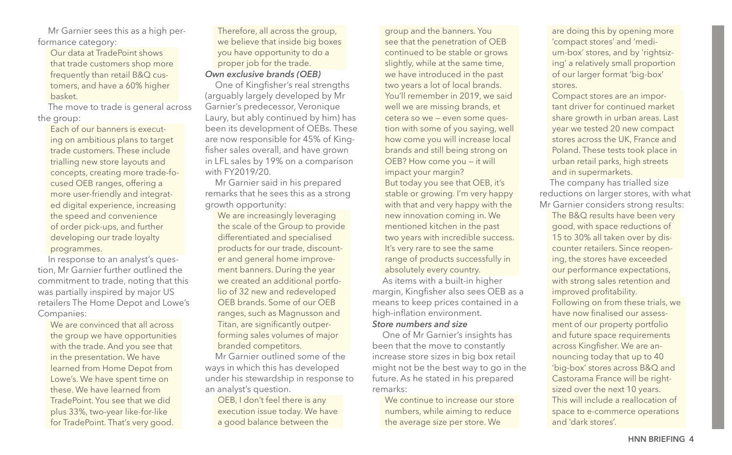Mr Garnier sees this as a high performance category:

Our data at TradePoint shows that trade customers shop more frequently than retail B&Q customers, and have a 60% higher basket.

The move to trade is general across the group:

Each of our banners is executing on ambitious plans to target trade customers. These include trialling new store layouts and concepts, creating more trade-focused OEB ranges, offering a more user-friendly and integrated digital experience, increasing the speed and convenience of order pick-ups, and further developing our trade loyalty programmes.

In response to an analyst's question, Mr Garnier further outlined the commitment to trade, noting that this was partially inspired by major US retailers The Home Depot and Lowe's Companies:

We are convinced that all across the group we have opportunities with the trade. And you see that in the presentation. We have learned from Home Depot from Lowe's. We have spent time on these. We have learned from TradePoint. You see that we did plus 33%, two-year like-for-like for TradePoint. That's very good.

Therefore, all across the group, we believe that inside big boxes you have opportunity to do a proper job for the trade.

*Own exclusive brands (OEB)*

One of Kingfisher's real strengths (arguably largely developed by Mr Garnier's predecessor, Veronique Laury, but ably continued by him) has been its development of OEBs. These are now responsible for 45% of Kingfisher sales overall, and have grown in LFL sales by 19% on a comparison with FY2019/20.

Mr Garnier said in his prepared remarks that he sees this as a strong growth opportunity:

We are increasingly leveraging the scale of the Group to provide differentiated and specialised products for our trade, discounter and general home improvement banners. During the year we created an additional portfolio of 32 new and redeveloped OEB brands. Some of our OEB ranges, such as Magnusson and Titan, are significantly outperforming sales volumes of major branded competitors.

Mr Garnier outlined some of the ways in which this has developed under his stewardship in response to an analyst's question.

OEB, I don't feel there is any execution issue today. We have a good balance between the

group and the banners. You see that the penetration of OEB continued to be stable or grows slightly, while at the same time, we have introduced in the past two years a lot of local brands. You'll remember in 2019, we said well we are missing brands, et cetera so we — even some question with some of you saying, well how come you will increase local brands and still being strong on OEB? How come you — it will impact your margin? But today you see that OEB, it's stable or growing. I'm very happy with that and very happy with the new innovation coming in. We mentioned kitchen in the past two years with incredible success. It's very rare to see the same range of products successfully in absolutely every country. As items with a built-in higher margin, Kingfisher also sees OEB as a means to keep prices contained in a high-inflation environment. *Store numbers and size*

One of Mr Garnier's insights has been that the move to constantly increase store sizes in big box retail might not be the best way to go in the future. As he stated in his prepared remarks:

We continue to increase our store numbers, while aiming to reduce the average size per store. We

are doing this by opening more 'compact stores' and 'medium-box' stores, and by 'rightsizing' a relatively small proportion of our larger format 'big-box' stores.

Compact stores are an important driver for continued market share growth in urban areas. Last year we tested 20 new compact stores across the UK, France and Poland. These tests took place in urban retail parks, high streets and in supermarkets.

The company has trialled size reductions on larger stores, with what Mr Garnier considers strong results:

The B&Q results have been very good, with space reductions of 15 to 30% all taken over by discounter retailers. Since reopening, the stores have exceeded our performance expectations, with strong sales retention and improved profitability. Following on from these trials, we have now finalised our assessment of our property portfolio and future space requirements across Kingfisher. We are announcing today that up to 40 'big-box' stores across B&Q and Castorama France will be rightsized over the next 10 years. This will include a reallocation of space to e-commerce operations and 'dark stores'.